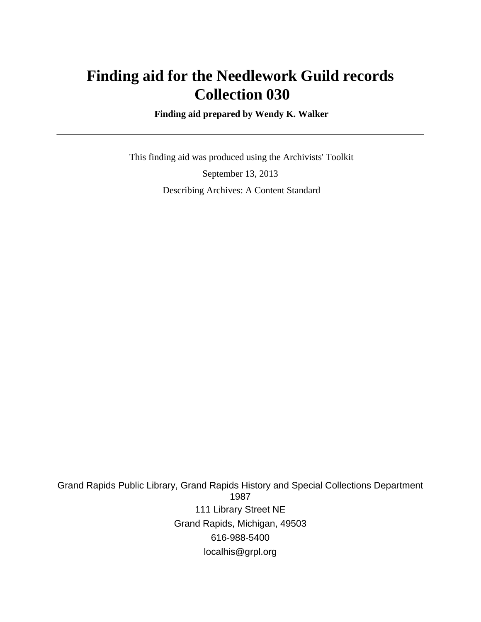# **Finding aid for the Needlework Guild records Collection 030**

 **Finding aid prepared by Wendy K. Walker**

 This finding aid was produced using the Archivists' Toolkit September 13, 2013 Describing Archives: A Content Standard

Grand Rapids Public Library, Grand Rapids History and Special Collections Department 1987 111 Library Street NE Grand Rapids, Michigan, 49503 616-988-5400 localhis@grpl.org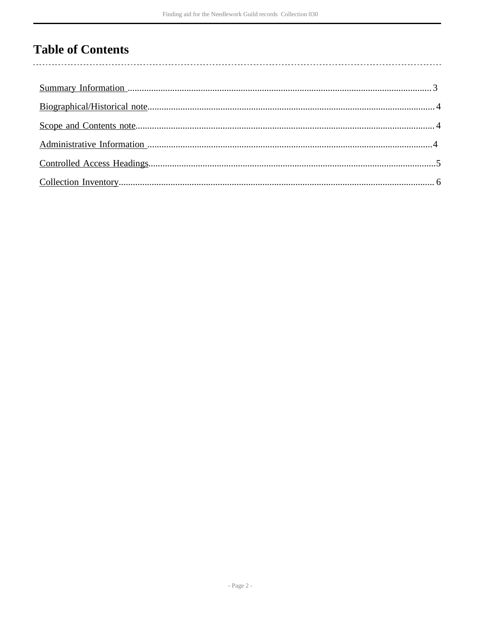## **Table of Contents**

 $\overline{\phantom{a}}$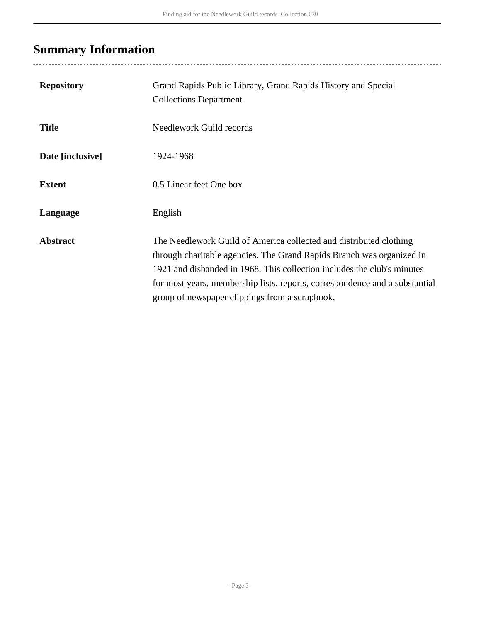# <span id="page-2-0"></span>**Summary Information**

| <b>Repository</b> | Grand Rapids Public Library, Grand Rapids History and Special<br><b>Collections Department</b>                                                                                                                                                                                                                                                          |
|-------------------|---------------------------------------------------------------------------------------------------------------------------------------------------------------------------------------------------------------------------------------------------------------------------------------------------------------------------------------------------------|
| <b>Title</b>      | Needlework Guild records                                                                                                                                                                                                                                                                                                                                |
| Date [inclusive]  | 1924-1968                                                                                                                                                                                                                                                                                                                                               |
| <b>Extent</b>     | 0.5 Linear feet One box                                                                                                                                                                                                                                                                                                                                 |
| Language          | English                                                                                                                                                                                                                                                                                                                                                 |
| <b>Abstract</b>   | The Needlework Guild of America collected and distributed clothing<br>through charitable agencies. The Grand Rapids Branch was organized in<br>1921 and disbanded in 1968. This collection includes the club's minutes<br>for most years, membership lists, reports, correspondence and a substantial<br>group of newspaper clippings from a scrapbook. |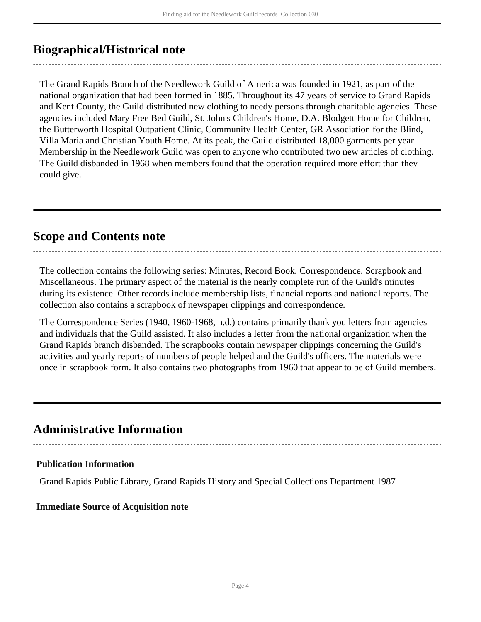### <span id="page-3-0"></span>**Biographical/Historical note**

The Grand Rapids Branch of the Needlework Guild of America was founded in 1921, as part of the national organization that had been formed in 1885. Throughout its 47 years of service to Grand Rapids and Kent County, the Guild distributed new clothing to needy persons through charitable agencies. These agencies included Mary Free Bed Guild, St. John's Children's Home, D.A. Blodgett Home for Children, the Butterworth Hospital Outpatient Clinic, Community Health Center, GR Association for the Blind, Villa Maria and Christian Youth Home. At its peak, the Guild distributed 18,000 garments per year. Membership in the Needlework Guild was open to anyone who contributed two new articles of clothing. The Guild disbanded in 1968 when members found that the operation required more effort than they could give.

### <span id="page-3-1"></span>**Scope and Contents note**

The collection contains the following series: Minutes, Record Book, Correspondence, Scrapbook and Miscellaneous. The primary aspect of the material is the nearly complete run of the Guild's minutes during its existence. Other records include membership lists, financial reports and national reports. The collection also contains a scrapbook of newspaper clippings and correspondence.

The Correspondence Series (1940, 1960-1968, n.d.) contains primarily thank you letters from agencies and individuals that the Guild assisted. It also includes a letter from the national organization when the Grand Rapids branch disbanded. The scrapbooks contain newspaper clippings concerning the Guild's activities and yearly reports of numbers of people helped and the Guild's officers. The materials were once in scrapbook form. It also contains two photographs from 1960 that appear to be of Guild members.

### <span id="page-3-2"></span>**Administrative Information**

#### **Publication Information**

Grand Rapids Public Library, Grand Rapids History and Special Collections Department 1987

#### **Immediate Source of Acquisition note**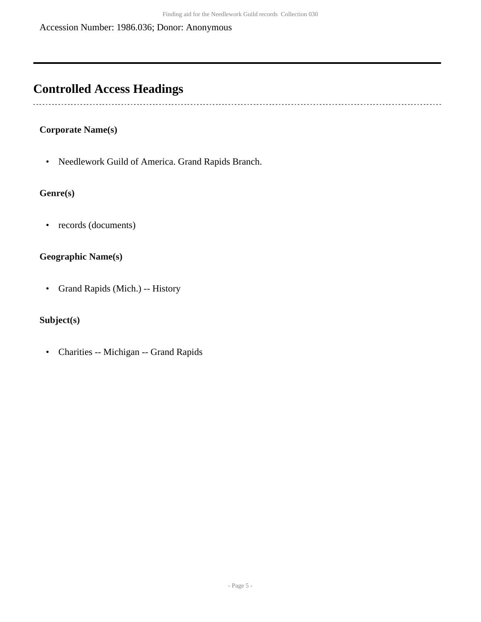## <span id="page-4-0"></span>**Controlled Access Headings**

 $\overline{\phantom{a}}$ 

#### **Corporate Name(s)**

• Needlework Guild of America. Grand Rapids Branch.

#### **Genre(s)**

• records (documents)

#### **Geographic Name(s)**

• Grand Rapids (Mich.) -- History

#### **Subject(s)**

• Charities -- Michigan -- Grand Rapids